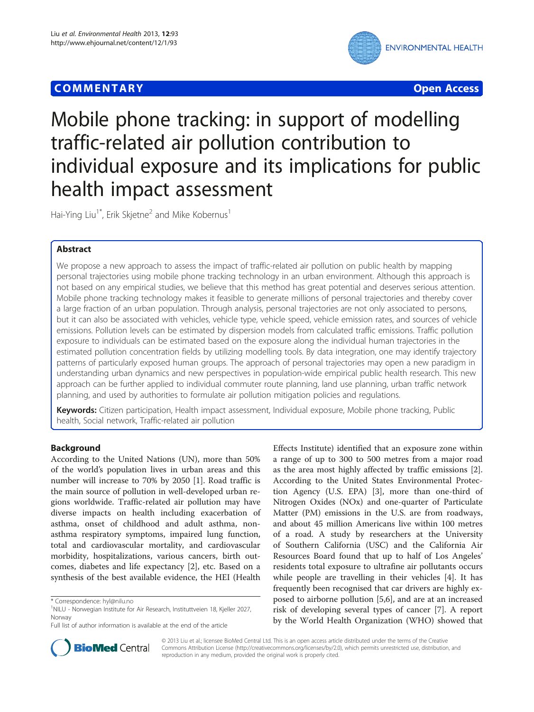## **COMMENTARY COMMENTARY Open Access**



# Mobile phone tracking: in support of modelling traffic-related air pollution contribution to individual exposure and its implications for public health impact assessment

Hai-Ying Liu<sup>1\*</sup>, Erik Skjetne<sup>2</sup> and Mike Kobernus<sup>1</sup>

## Abstract

We propose a new approach to assess the impact of traffic-related air pollution on public health by mapping personal trajectories using mobile phone tracking technology in an urban environment. Although this approach is not based on any empirical studies, we believe that this method has great potential and deserves serious attention. Mobile phone tracking technology makes it feasible to generate millions of personal trajectories and thereby cover a large fraction of an urban population. Through analysis, personal trajectories are not only associated to persons, but it can also be associated with vehicles, vehicle type, vehicle speed, vehicle emission rates, and sources of vehicle emissions. Pollution levels can be estimated by dispersion models from calculated traffic emissions. Traffic pollution exposure to individuals can be estimated based on the exposure along the individual human trajectories in the estimated pollution concentration fields by utilizing modelling tools. By data integration, one may identify trajectory patterns of particularly exposed human groups. The approach of personal trajectories may open a new paradigm in understanding urban dynamics and new perspectives in population-wide empirical public health research. This new approach can be further applied to individual commuter route planning, land use planning, urban traffic network planning, and used by authorities to formulate air pollution mitigation policies and regulations.

Keywords: Citizen participation, Health impact assessment, Individual exposure, Mobile phone tracking, Public health, Social network, Traffic-related air pollution

## Background

According to the United Nations (UN), more than 50% of the world's population lives in urban areas and this number will increase to 70% by 2050 [[1\]](#page-9-0). Road traffic is the main source of pollution in well-developed urban regions worldwide. Traffic-related air pollution may have diverse impacts on health including exacerbation of asthma, onset of childhood and adult asthma, nonasthma respiratory symptoms, impaired lung function, total and cardiovascular mortality, and cardiovascular morbidity, hospitalizations, various cancers, birth outcomes, diabetes and life expectancy [\[2](#page-9-0)], etc. Based on a synthesis of the best available evidence, the HEI (Health

Effects Institute) identified that an exposure zone within a range of up to 300 to 500 metres from a major road as the area most highly affected by traffic emissions [\[2](#page-9-0)]. According to the United States Environmental Protection Agency (U.S. EPA) [[3](#page-9-0)], more than one-third of Nitrogen Oxides (NOx) and one-quarter of Particulate Matter (PM) emissions in the U.S. are from roadways, and about 45 million Americans live within 100 metres of a road. A study by researchers at the University of Southern California (USC) and the California Air Resources Board found that up to half of Los Angeles' residents total exposure to ultrafine air pollutants occurs while people are travelling in their vehicles [[4\]](#page-9-0). It has frequently been recognised that car drivers are highly exposed to airborne pollution [\[5,6](#page-9-0)], and are at an increased risk of developing several types of cancer [[7\]](#page-9-0). A report by the World Health Organization (WHO) showed that



© 2013 Liu et al.; licensee BioMed Central Ltd. This is an open access article distributed under the terms of the Creative Commons Attribution License [\(http://creativecommons.org/licenses/by/2.0\)](http://creativecommons.org/licenses/by/2.0), which permits unrestricted use, distribution, and reproduction in any medium, provided the original work is properly cited.

<sup>\*</sup> Correspondence: [hyl@nilu.no](mailto:hyl@nilu.no) <sup>1</sup>

<sup>&</sup>lt;sup>1</sup>NILU - Norwegian Institute for Air Research, Instituttveien 18, Kjeller 2027, Norway

Full list of author information is available at the end of the article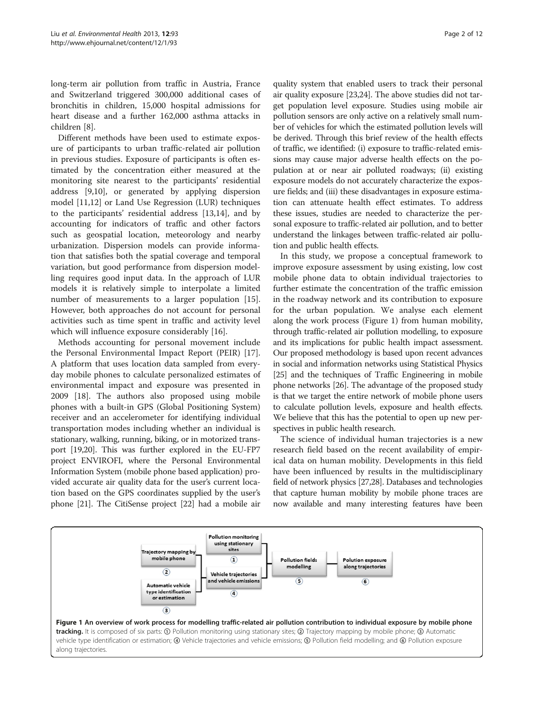<span id="page-1-0"></span>long-term air pollution from traffic in Austria, France and Switzerland triggered 300,000 additional cases of bronchitis in children, 15,000 hospital admissions for heart disease and a further 162,000 asthma attacks in children [\[8](#page-9-0)].

Different methods have been used to estimate exposure of participants to urban traffic-related air pollution in previous studies. Exposure of participants is often estimated by the concentration either measured at the monitoring site nearest to the participants' residential address [[9,10\]](#page-9-0), or generated by applying dispersion model [[11](#page-9-0),[12](#page-9-0)] or Land Use Regression (LUR) techniques to the participants' residential address [[13,14\]](#page-9-0), and by accounting for indicators of traffic and other factors such as geospatial location, meteorology and nearby urbanization. Dispersion models can provide information that satisfies both the spatial coverage and temporal variation, but good performance from dispersion modelling requires good input data. In the approach of LUR models it is relatively simple to interpolate a limited number of measurements to a larger population [\[15](#page-9-0)]. However, both approaches do not account for personal activities such as time spent in traffic and activity level which will influence exposure considerably [[16](#page-9-0)].

Methods accounting for personal movement include the Personal Environmental Impact Report (PEIR) [\[17](#page-9-0)]. A platform that uses location data sampled from everyday mobile phones to calculate personalized estimates of environmental impact and exposure was presented in 2009 [[18\]](#page-9-0). The authors also proposed using mobile phones with a built-in GPS (Global Positioning System) receiver and an accelerometer for identifying individual transportation modes including whether an individual is stationary, walking, running, biking, or in motorized transport [[19,20\]](#page-9-0). This was further explored in the EU-FP7 project ENVIROFI, where the Personal Environmental Information System (mobile phone based application) provided accurate air quality data for the user's current location based on the GPS coordinates supplied by the user's phone [\[21\]](#page-9-0). The CitiSense project [\[22\]](#page-9-0) had a mobile air quality system that enabled users to track their personal air quality exposure [\[23,24](#page-9-0)]. The above studies did not target population level exposure. Studies using mobile air pollution sensors are only active on a relatively small number of vehicles for which the estimated pollution levels will be derived. Through this brief review of the health effects of traffic, we identified: (i) exposure to traffic-related emissions may cause major adverse health effects on the population at or near air polluted roadways; (ii) existing exposure models do not accurately characterize the exposure fields; and (iii) these disadvantages in exposure estimation can attenuate health effect estimates. To address these issues, studies are needed to characterize the personal exposure to traffic-related air pollution, and to better understand the linkages between traffic-related air pollution and public health effects.

In this study, we propose a conceptual framework to improve exposure assessment by using existing, low cost mobile phone data to obtain individual trajectories to further estimate the concentration of the traffic emission in the roadway network and its contribution to exposure for the urban population. We analyse each element along the work process (Figure 1) from human mobility, through traffic-related air pollution modelling, to exposure and its implications for public health impact assessment. Our proposed methodology is based upon recent advances in social and information networks using Statistical Physics [[25](#page-10-0)] and the techniques of Traffic Engineering in mobile phone networks [\[26\]](#page-10-0). The advantage of the proposed study is that we target the entire network of mobile phone users to calculate pollution levels, exposure and health effects. We believe that this has the potential to open up new perspectives in public health research.

The science of individual human trajectories is a new research field based on the recent availability of empirical data on human mobility. Developments in this field have been influenced by results in the multidisciplinary field of network physics [[27,28](#page-10-0)]. Databases and technologies that capture human mobility by mobile phone traces are now available and many interesting features have been

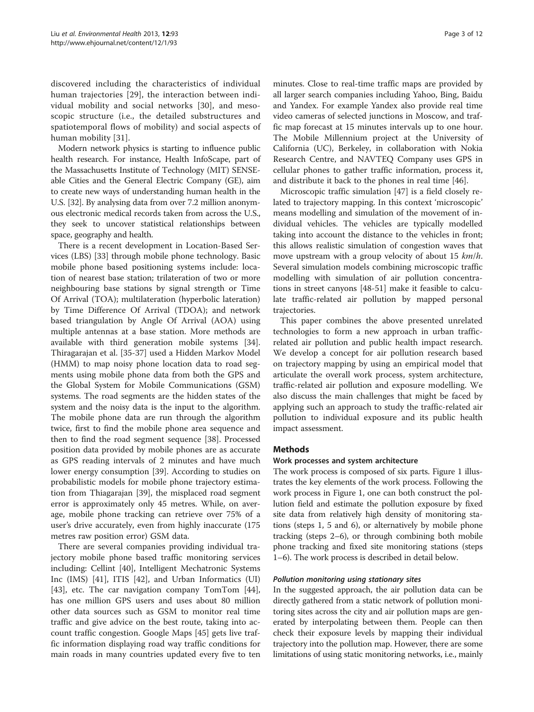discovered including the characteristics of individual human trajectories [[29\]](#page-10-0), the interaction between individual mobility and social networks [\[30\]](#page-10-0), and mesoscopic structure (i.e., the detailed substructures and spatiotemporal flows of mobility) and social aspects of human mobility [[31\]](#page-10-0).

Modern network physics is starting to influence public health research. For instance, Health InfoScape, part of the Massachusetts Institute of Technology (MIT) SENSEable Cities and the General Electric Company (GE), aim to create new ways of understanding human health in the U.S. [\[32](#page-10-0)]. By analysing data from over 7.2 million anonymous electronic medical records taken from across the U.S., they seek to uncover statistical relationships between space, geography and health.

There is a recent development in Location-Based Services (LBS) [\[33](#page-10-0)] through mobile phone technology. Basic mobile phone based positioning systems include: location of nearest base station; trilateration of two or more neighbouring base stations by signal strength or Time Of Arrival (TOA); multilateration (hyperbolic lateration) by Time Difference Of Arrival (TDOA); and network based triangulation by Angle Of Arrival (AOA) using multiple antennas at a base station. More methods are available with third generation mobile systems [\[34](#page-10-0)]. Thiragarajan et al. [\[35](#page-10-0)-[37\]](#page-10-0) used a Hidden Markov Model (HMM) to map noisy phone location data to road segments using mobile phone data from both the GPS and the Global System for Mobile Communications (GSM) systems. The road segments are the hidden states of the system and the noisy data is the input to the algorithm. The mobile phone data are run through the algorithm twice, first to find the mobile phone area sequence and then to find the road segment sequence [\[38](#page-10-0)]. Processed position data provided by mobile phones are as accurate as GPS reading intervals of 2 minutes and have much lower energy consumption [[39\]](#page-10-0). According to studies on probabilistic models for mobile phone trajectory estimation from Thiagarajan [[39\]](#page-10-0), the misplaced road segment error is approximately only 45 metres. While, on average, mobile phone tracking can retrieve over 75% of a user's drive accurately, even from highly inaccurate (175 metres raw position error) GSM data.

There are several companies providing individual trajectory mobile phone based traffic monitoring services including: Cellint [\[40\]](#page-10-0), Intelligent Mechatronic Systems Inc (IMS) [\[41](#page-10-0)], ITIS [\[42\]](#page-10-0), and Urban Informatics (UI) [[43\]](#page-10-0), etc. The car navigation company TomTom [\[44](#page-10-0)], has one million GPS users and uses about 80 million other data sources such as GSM to monitor real time traffic and give advice on the best route, taking into account traffic congestion. Google Maps [\[45](#page-10-0)] gets live traffic information displaying road way traffic conditions for main roads in many countries updated every five to ten

minutes. Close to real-time traffic maps are provided by all larger search companies including Yahoo, Bing, Baidu and Yandex. For example Yandex also provide real time video cameras of selected junctions in Moscow, and traffic map forecast at 15 minutes intervals up to one hour. The Mobile Millennium project at the University of California (UC), Berkeley, in collaboration with Nokia Research Centre, and NAVTEQ Company uses GPS in cellular phones to gather traffic information, process it, and distribute it back to the phones in real time [\[46](#page-10-0)].

Microscopic traffic simulation [[47](#page-10-0)] is a field closely related to trajectory mapping. In this context 'microscopic' means modelling and simulation of the movement of individual vehicles. The vehicles are typically modelled taking into account the distance to the vehicles in front; this allows realistic simulation of congestion waves that move upstream with a group velocity of about 15  $km/h$ . Several simulation models combining microscopic traffic modelling with simulation of air pollution concentrations in street canyons [[48-51](#page-10-0)] make it feasible to calculate traffic-related air pollution by mapped personal trajectories.

This paper combines the above presented unrelated technologies to form a new approach in urban trafficrelated air pollution and public health impact research. We develop a concept for air pollution research based on trajectory mapping by using an empirical model that articulate the overall work process, system architecture, traffic-related air pollution and exposure modelling. We also discuss the main challenges that might be faced by applying such an approach to study the traffic-related air pollution to individual exposure and its public health impact assessment.

#### Methods

#### Work processes and system architecture

The work process is composed of six parts. Figure [1](#page-1-0) illustrates the key elements of the work process. Following the work process in Figure [1,](#page-1-0) one can both construct the pollution field and estimate the pollution exposure by fixed site data from relatively high density of monitoring stations (steps 1, 5 and 6), or alternatively by mobile phone tracking (steps 2–6), or through combining both mobile phone tracking and fixed site monitoring stations (steps 1–6). The work process is described in detail below.

#### Pollution monitoring using stationary sites

In the suggested approach, the air pollution data can be directly gathered from a static network of pollution monitoring sites across the city and air pollution maps are generated by interpolating between them. People can then check their exposure levels by mapping their individual trajectory into the pollution map. However, there are some limitations of using static monitoring networks, i.e., mainly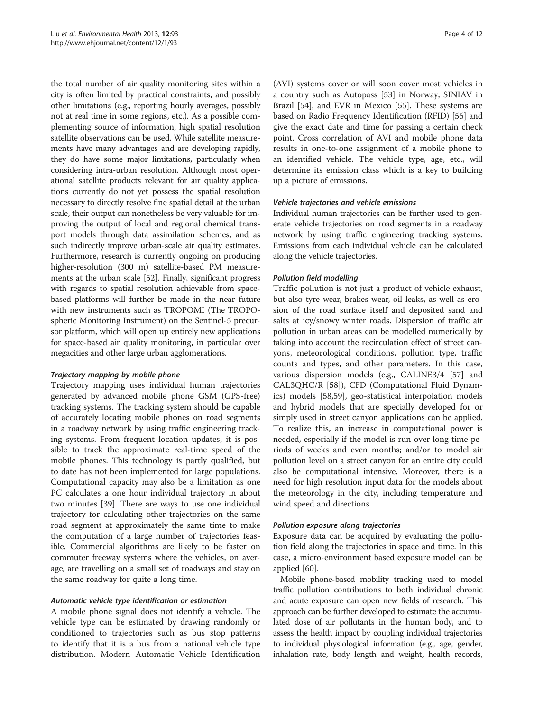the total number of air quality monitoring sites within a city is often limited by practical constraints, and possibly other limitations (e.g., reporting hourly averages, possibly not at real time in some regions, etc.). As a possible complementing source of information, high spatial resolution satellite observations can be used. While satellite measurements have many advantages and are developing rapidly, they do have some major limitations, particularly when considering intra-urban resolution. Although most operational satellite products relevant for air quality applications currently do not yet possess the spatial resolution necessary to directly resolve fine spatial detail at the urban scale, their output can nonetheless be very valuable for improving the output of local and regional chemical transport models through data assimilation schemes, and as such indirectly improve urban-scale air quality estimates. Furthermore, research is currently ongoing on producing higher-resolution (300 m) satellite-based PM measurements at the urban scale [\[52\]](#page-10-0). Finally, significant progress with regards to spatial resolution achievable from spacebased platforms will further be made in the near future with new instruments such as TROPOMI (The TROPOspheric Monitoring Instrument) on the Sentinel-5 precursor platform, which will open up entirely new applications for space-based air quality monitoring, in particular over megacities and other large urban agglomerations.

## Trajectory mapping by mobile phone

Trajectory mapping uses individual human trajectories generated by advanced mobile phone GSM (GPS-free) tracking systems. The tracking system should be capable of accurately locating mobile phones on road segments in a roadway network by using traffic engineering tracking systems. From frequent location updates, it is possible to track the approximate real-time speed of the mobile phones. This technology is partly qualified, but to date has not been implemented for large populations. Computational capacity may also be a limitation as one PC calculates a one hour individual trajectory in about two minutes [\[39](#page-10-0)]. There are ways to use one individual trajectory for calculating other trajectories on the same road segment at approximately the same time to make the computation of a large number of trajectories feasible. Commercial algorithms are likely to be faster on commuter freeway systems where the vehicles, on average, are travelling on a small set of roadways and stay on the same roadway for quite a long time.

#### Automatic vehicle type identification or estimation

A mobile phone signal does not identify a vehicle. The vehicle type can be estimated by drawing randomly or conditioned to trajectories such as bus stop patterns to identify that it is a bus from a national vehicle type distribution. Modern Automatic Vehicle Identification (AVI) systems cover or will soon cover most vehicles in a country such as Autopass [\[53\]](#page-10-0) in Norway, SINIAV in Brazil [[54\]](#page-10-0), and EVR in Mexico [[55\]](#page-10-0). These systems are based on Radio Frequency Identification (RFID) [[56](#page-10-0)] and give the exact date and time for passing a certain check point. Cross correlation of AVI and mobile phone data results in one-to-one assignment of a mobile phone to an identified vehicle. The vehicle type, age, etc., will determine its emission class which is a key to building up a picture of emissions.

## Vehicle trajectories and vehicle emissions

Individual human trajectories can be further used to generate vehicle trajectories on road segments in a roadway network by using traffic engineering tracking systems. Emissions from each individual vehicle can be calculated along the vehicle trajectories.

## Pollution field modelling

Traffic pollution is not just a product of vehicle exhaust, but also tyre wear, brakes wear, oil leaks, as well as erosion of the road surface itself and deposited sand and salts at icy/snowy winter roads. Dispersion of traffic air pollution in urban areas can be modelled numerically by taking into account the recirculation effect of street canyons, meteorological conditions, pollution type, traffic counts and types, and other parameters. In this case, various dispersion models (e.g., CALINE3/4 [[57\]](#page-10-0) and CAL3QHC/R [\[58](#page-10-0)]), CFD (Computational Fluid Dynamics) models [\[58,59\]](#page-10-0), geo-statistical interpolation models and hybrid models that are specially developed for or simply used in street canyon applications can be applied. To realize this, an increase in computational power is needed, especially if the model is run over long time periods of weeks and even months; and/or to model air pollution level on a street canyon for an entire city could also be computational intensive. Moreover, there is a need for high resolution input data for the models about the meteorology in the city, including temperature and wind speed and directions.

#### Pollution exposure along trajectories

Exposure data can be acquired by evaluating the pollution field along the trajectories in space and time. In this case, a micro-environment based exposure model can be applied [\[60](#page-10-0)].

Mobile phone-based mobility tracking used to model traffic pollution contributions to both individual chronic and acute exposure can open new fields of research. This approach can be further developed to estimate the accumulated dose of air pollutants in the human body, and to assess the health impact by coupling individual trajectories to individual physiological information (e.g., age, gender, inhalation rate, body length and weight, health records,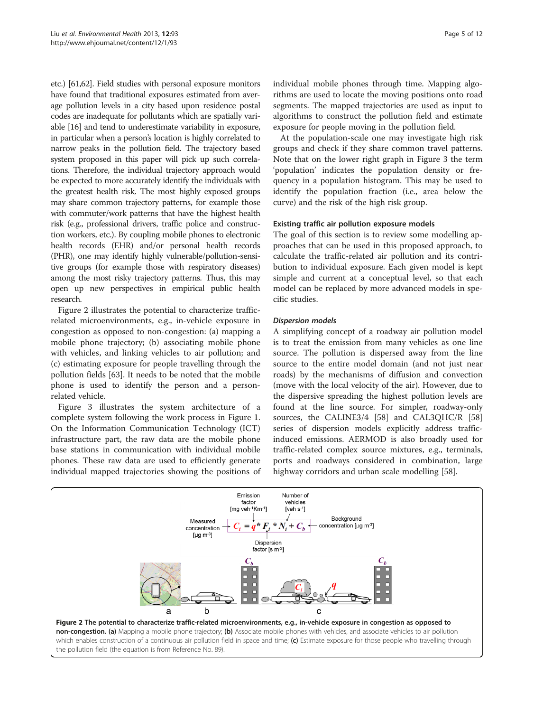etc.) [\[61,62\]](#page-10-0). Field studies with personal exposure monitors have found that traditional exposures estimated from average pollution levels in a city based upon residence postal codes are inadequate for pollutants which are spatially variable [\[16\]](#page-9-0) and tend to underestimate variability in exposure, in particular when a person's location is highly correlated to narrow peaks in the pollution field. The trajectory based system proposed in this paper will pick up such correlations. Therefore, the individual trajectory approach would be expected to more accurately identify the individuals with the greatest health risk. The most highly exposed groups may share common trajectory patterns, for example those with commuter/work patterns that have the highest health risk (e.g., professional drivers, traffic police and construction workers, etc.). By coupling mobile phones to electronic health records (EHR) and/or personal health records (PHR), one may identify highly vulnerable/pollution-sensitive groups (for example those with respiratory diseases) among the most risky trajectory patterns. Thus, this may open up new perspectives in empirical public health research.

Figure 2 illustrates the potential to characterize trafficrelated microenvironments, e.g., in-vehicle exposure in congestion as opposed to non-congestion: (a) mapping a mobile phone trajectory; (b) associating mobile phone with vehicles, and linking vehicles to air pollution; and (c) estimating exposure for people travelling through the pollution fields [\[63\]](#page-10-0). It needs to be noted that the mobile phone is used to identify the person and a personrelated vehicle.

Figure [3](#page-5-0) illustrates the system architecture of a complete system following the work process in Figure [1](#page-1-0). On the Information Communication Technology (ICT) infrastructure part, the raw data are the mobile phone base stations in communication with individual mobile phones. These raw data are used to efficiently generate individual mapped trajectories showing the positions of individual mobile phones through time. Mapping algorithms are used to locate the moving positions onto road segments. The mapped trajectories are used as input to algorithms to construct the pollution field and estimate exposure for people moving in the pollution field.

At the population-scale one may investigate high risk groups and check if they share common travel patterns. Note that on the lower right graph in Figure [3](#page-5-0) the term 'population' indicates the population density or frequency in a population histogram. This may be used to identify the population fraction (i.e., area below the curve) and the risk of the high risk group.

## Existing traffic air pollution exposure models

The goal of this section is to review some modelling approaches that can be used in this proposed approach, to calculate the traffic-related air pollution and its contribution to individual exposure. Each given model is kept simple and current at a conceptual level, so that each model can be replaced by more advanced models in specific studies.

## Dispersion models

A simplifying concept of a roadway air pollution model is to treat the emission from many vehicles as one line source. The pollution is dispersed away from the line source to the entire model domain (and not just near roads) by the mechanisms of diffusion and convection (move with the local velocity of the air). However, due to the dispersive spreading the highest pollution levels are found at the line source. For simpler, roadway-only sources, the CALINE3/4 [[58](#page-10-0)] and CAL3QHC/R [[58](#page-10-0)] series of dispersion models explicitly address trafficinduced emissions. AERMOD is also broadly used for traffic-related complex source mixtures, e.g., terminals, ports and roadways considered in combination, large highway corridors and urban scale modelling [\[58](#page-10-0)].

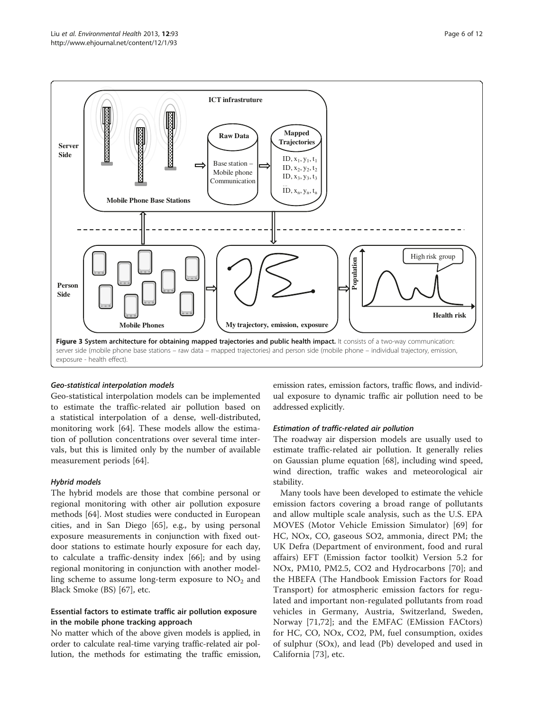<span id="page-5-0"></span>

## Geo-statistical interpolation models

Geo-statistical interpolation models can be implemented to estimate the traffic-related air pollution based on a statistical interpolation of a dense, well-distributed, monitoring work [\[64\]](#page-10-0). These models allow the estimation of pollution concentrations over several time intervals, but this is limited only by the number of available measurement periods [\[64\]](#page-10-0).

#### Hybrid models

The hybrid models are those that combine personal or regional monitoring with other air pollution exposure methods [\[64\]](#page-10-0). Most studies were conducted in European cities, and in San Diego [\[65\]](#page-10-0), e.g., by using personal exposure measurements in conjunction with fixed outdoor stations to estimate hourly exposure for each day, to calculate a traffic-density index [\[66](#page-10-0)]; and by using regional monitoring in conjunction with another modelling scheme to assume long-term exposure to  $NO<sub>2</sub>$  and Black Smoke (BS) [[67](#page-10-0)], etc.

## Essential factors to estimate traffic air pollution exposure in the mobile phone tracking approach

No matter which of the above given models is applied, in order to calculate real-time varying traffic-related air pollution, the methods for estimating the traffic emission, emission rates, emission factors, traffic flows, and individual exposure to dynamic traffic air pollution need to be addressed explicitly.

#### Estimation of traffic-related air pollution

The roadway air dispersion models are usually used to estimate traffic-related air pollution. It generally relies on Gaussian plume equation [[68\]](#page-10-0), including wind speed, wind direction, traffic wakes and meteorological air stability.

Many tools have been developed to estimate the vehicle emission factors covering a broad range of pollutants and allow multiple scale analysis, such as the U.S. EPA MOVES (Motor Vehicle Emission Simulator) [[69\]](#page-10-0) for HC, NOx, CO, gaseous SO2, ammonia, direct PM; the UK Defra (Department of environment, food and rural affairs) EFT (Emission factor toolkit) Version 5.2 for NOx, PM10, PM2.5, CO2 and Hydrocarbons [[70\]](#page-10-0); and the HBEFA (The Handbook Emission Factors for Road Transport) for atmospheric emission factors for regulated and important non-regulated pollutants from road vehicles in Germany, Austria, Switzerland, Sweden, Norway [\[71](#page-10-0),[72](#page-10-0)]; and the EMFAC (EMission FACtors) for HC, CO, NOx, CO2, PM, fuel consumption, oxides of sulphur (SOx), and lead (Pb) developed and used in California [[73\]](#page-10-0), etc.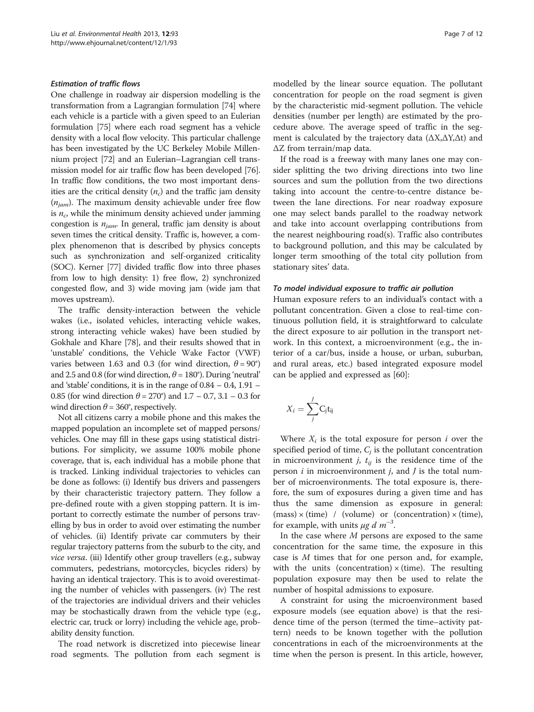#### Estimation of traffic flows

One challenge in roadway air dispersion modelling is the transformation from a Lagrangian formulation [\[74](#page-10-0)] where each vehicle is a particle with a given speed to an Eulerian formulation [\[75\]](#page-10-0) where each road segment has a vehicle density with a local flow velocity. This particular challenge has been investigated by the UC Berkeley Mobile Millennium project [[72](#page-10-0)] and an Eulerian–Lagrangian cell transmission model for air traffic flow has been developed [[76](#page-10-0)]. In traffic flow conditions, the two most important densities are the critical density  $(n_c)$  and the traffic jam density  $(n_{jam})$ . The maximum density achievable under free flow is  $n_c$ , while the minimum density achieved under jamming congestion is  $n_{jam}$ . In general, traffic jam density is about seven times the critical density. Traffic is, however, a complex phenomenon that is described by physics concepts such as synchronization and self-organized criticality (SOC). Kerner [\[77](#page-10-0)] divided traffic flow into three phases from low to high density: 1) free flow, 2) synchronized congested flow, and 3) wide moving jam (wide jam that moves upstream).

The traffic density-interaction between the vehicle wakes (i.e., isolated vehicles, interacting vehicle wakes, strong interacting vehicle wakes) have been studied by Gokhale and Khare [\[78\]](#page-10-0), and their results showed that in 'unstable' conditions, the Vehicle Wake Factor (VWF) varies between 1.63 and 0.3 (for wind direction,  $\theta = 90^{\circ}$ ) and 2.5 and 0.8 (for wind direction,  $\theta$  = 180°). During 'neutral' and 'stable' conditions, it is in the range of  $0.84 - 0.4$ ,  $1.91 -$ 0.85 (for wind direction  $\theta = 270^{\circ}$ ) and  $1.7 - 0.7$ ,  $3.1 - 0.3$  for wind direction  $\theta$  = 360°, respectively.

Not all citizens carry a mobile phone and this makes the mapped population an incomplete set of mapped persons/ vehicles. One may fill in these gaps using statistical distributions. For simplicity, we assume 100% mobile phone coverage, that is, each individual has a mobile phone that is tracked. Linking individual trajectories to vehicles can be done as follows: (i) Identify bus drivers and passengers by their characteristic trajectory pattern. They follow a pre-defined route with a given stopping pattern. It is important to correctly estimate the number of persons travelling by bus in order to avoid over estimating the number of vehicles. (ii) Identify private car commuters by their regular trajectory patterns from the suburb to the city, and vice versa. (iii) Identify other group travellers (e.g., subway commuters, pedestrians, motorcycles, bicycles riders) by having an identical trajectory. This is to avoid overestimating the number of vehicles with passengers. (iv) The rest of the trajectories are individual drivers and their vehicles may be stochastically drawn from the vehicle type (e.g., electric car, truck or lorry) including the vehicle age, probability density function.

The road network is discretized into piecewise linear road segments. The pollution from each segment is modelled by the linear source equation. The pollutant concentration for people on the road segment is given by the characteristic mid-segment pollution. The vehicle densities (number per length) are estimated by the procedure above. The average speed of traffic in the segment is calculated by the trajectory data  $(\Delta X, \Delta Y, \Delta t)$  and ΔZ from terrain/map data.

If the road is a freeway with many lanes one may consider splitting the two driving directions into two line sources and sum the pollution from the two directions taking into account the centre-to-centre distance between the lane directions. For near roadway exposure one may select bands parallel to the roadway network and take into account overlapping contributions from the nearest neighbouring road(s). Traffic also contributes to background pollution, and this may be calculated by longer term smoothing of the total city pollution from stationary sites' data.

#### To model individual exposure to traffic air pollution

Human exposure refers to an individual's contact with a pollutant concentration. Given a close to real-time continuous pollution field, it is straightforward to calculate the direct exposure to air pollution in the transport network. In this context, a microenvironment (e.g., the interior of a car/bus, inside a house, or urban, suburban, and rural areas, etc.) based integrated exposure model can be applied and expressed as [[60\]](#page-10-0):

$$
X_i = \sum_j^J C_j t_{ij}
$$

Where  $X_i$  is the total exposure for person i over the specified period of time,  $C_i$  is the pollutant concentration in microenvironment *j*,  $t_{ij}$  is the residence time of the person  $i$  in microenvironment  $j$ , and  $J$  is the total number of microenvironments. The total exposure is, therefore, the sum of exposures during a given time and has thus the same dimension as exposure in general:  $(mass) \times (time)$  / (volume) or (concentration)  $\times$  (time), for example, with units  $\mu$ g d m<sup>-3</sup>.

In the case where  $M$  persons are exposed to the same concentration for the same time, the exposure in this case is M times that for one person and, for example, with the units (concentration)  $\times$  (time). The resulting population exposure may then be used to relate the number of hospital admissions to exposure.

A constraint for using the microenvironment based exposure models (see equation above) is that the residence time of the person (termed the time–activity pattern) needs to be known together with the pollution concentrations in each of the microenvironments at the time when the person is present. In this article, however,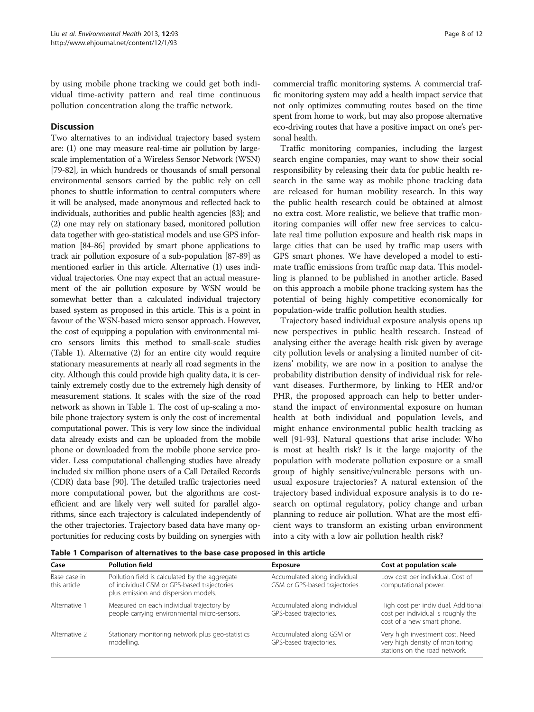by using mobile phone tracking we could get both individual time-activity pattern and real time continuous pollution concentration along the traffic network.

## **Discussion**

Two alternatives to an individual trajectory based system are: (1) one may measure real-time air pollution by largescale implementation of a Wireless Sensor Network (WSN) [[79](#page-11-0)-[82\]](#page-11-0), in which hundreds or thousands of small personal environmental sensors carried by the public rely on cell phones to shuttle information to central computers where it will be analysed, made anonymous and reflected back to individuals, authorities and public health agencies [\[83\]](#page-11-0); and (2) one may rely on stationary based, monitored pollution data together with geo-statistical models and use GPS information [\[84-86](#page-11-0)] provided by smart phone applications to track air pollution exposure of a sub-population [\[87](#page-11-0)-[89](#page-11-0)] as mentioned earlier in this article. Alternative (1) uses individual trajectories. One may expect that an actual measurement of the air pollution exposure by WSN would be somewhat better than a calculated individual trajectory based system as proposed in this article. This is a point in favour of the WSN-based micro sensor approach. However, the cost of equipping a population with environmental micro sensors limits this method to small-scale studies (Table 1). Alternative (2) for an entire city would require stationary measurements at nearly all road segments in the city. Although this could provide high quality data, it is certainly extremely costly due to the extremely high density of measurement stations. It scales with the size of the road network as shown in Table 1. The cost of up-scaling a mobile phone trajectory system is only the cost of incremental computational power. This is very low since the individual data already exists and can be uploaded from the mobile phone or downloaded from the mobile phone service provider. Less computational challenging studies have already included six million phone users of a Call Detailed Records (CDR) data base [[90](#page-11-0)]. The detailed traffic trajectories need more computational power, but the algorithms are costefficient and are likely very well suited for parallel algorithms, since each trajectory is calculated independently of the other trajectories. Trajectory based data have many opportunities for reducing costs by building on synergies with commercial traffic monitoring systems. A commercial traffic monitoring system may add a health impact service that not only optimizes commuting routes based on the time spent from home to work, but may also propose alternative eco-driving routes that have a positive impact on one's personal health.

Traffic monitoring companies, including the largest search engine companies, may want to show their social responsibility by releasing their data for public health research in the same way as mobile phone tracking data are released for human mobility research. In this way the public health research could be obtained at almost no extra cost. More realistic, we believe that traffic monitoring companies will offer new free services to calculate real time pollution exposure and health risk maps in large cities that can be used by traffic map users with GPS smart phones. We have developed a model to estimate traffic emissions from traffic map data. This modelling is planned to be published in another article. Based on this approach a mobile phone tracking system has the potential of being highly competitive economically for population-wide traffic pollution health studies.

Trajectory based individual exposure analysis opens up new perspectives in public health research. Instead of analysing either the average health risk given by average city pollution levels or analysing a limited number of citizens' mobility, we are now in a position to analyse the probability distribution density of individual risk for relevant diseases. Furthermore, by linking to HER and/or PHR, the proposed approach can help to better understand the impact of environmental exposure on human health at both individual and population levels, and might enhance environmental public health tracking as well [\[91](#page-11-0)-[93\]](#page-11-0). Natural questions that arise include: Who is most at health risk? Is it the large majority of the population with moderate pollution exposure or a small group of highly sensitive/vulnerable persons with unusual exposure trajectories? A natural extension of the trajectory based individual exposure analysis is to do research on optimal regulatory, policy change and urban planning to reduce air pollution. What are the most efficient ways to transform an existing urban environment into a city with a low air pollution health risk?

Table 1 Comparison of alternatives to the base case proposed in this article

| Case                         | <b>Pollution field</b>                                                                                                                | Exposure                                                       | Cost at population scale                                                                                 |
|------------------------------|---------------------------------------------------------------------------------------------------------------------------------------|----------------------------------------------------------------|----------------------------------------------------------------------------------------------------------|
| Base case in<br>this article | Pollution field is calculated by the aggregate<br>of individual GSM or GPS-based trajectories<br>plus emission and dispersion models. | Accumulated along individual<br>GSM or GPS-based trajectories. | Low cost per individual. Cost of<br>computational power.                                                 |
| Alternative 1                | Measured on each individual trajectory by<br>people carrying environmental micro-sensors.                                             | Accumulated along individual<br>GPS-based trajectories.        | High cost per individual. Additional<br>cost per individual is roughly the<br>cost of a new smart phone. |
| Alternative 2                | Stationary monitoring network plus geo-statistics<br>modelling.                                                                       | Accumulated along GSM or<br>GPS-based trajectories.            | Very high investment cost. Need<br>very high density of monitoring<br>stations on the road network.      |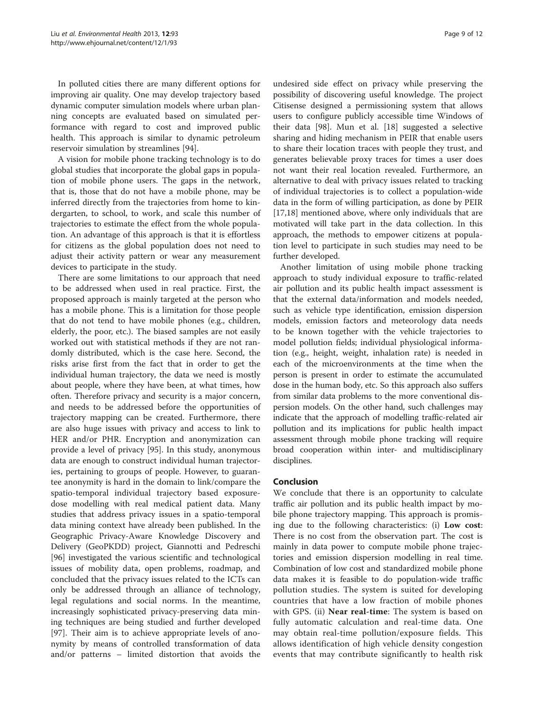In polluted cities there are many different options for improving air quality. One may develop trajectory based dynamic computer simulation models where urban planning concepts are evaluated based on simulated performance with regard to cost and improved public health. This approach is similar to dynamic petroleum reservoir simulation by streamlines [[94](#page-11-0)].

A vision for mobile phone tracking technology is to do global studies that incorporate the global gaps in population of mobile phone users. The gaps in the network, that is, those that do not have a mobile phone, may be inferred directly from the trajectories from home to kindergarten, to school, to work, and scale this number of trajectories to estimate the effect from the whole population. An advantage of this approach is that it is effortless for citizens as the global population does not need to adjust their activity pattern or wear any measurement devices to participate in the study.

There are some limitations to our approach that need to be addressed when used in real practice. First, the proposed approach is mainly targeted at the person who has a mobile phone. This is a limitation for those people that do not tend to have mobile phones (e.g., children, elderly, the poor, etc.). The biased samples are not easily worked out with statistical methods if they are not randomly distributed, which is the case here. Second, the risks arise first from the fact that in order to get the individual human trajectory, the data we need is mostly about people, where they have been, at what times, how often. Therefore privacy and security is a major concern, and needs to be addressed before the opportunities of trajectory mapping can be created. Furthermore, there are also huge issues with privacy and access to link to HER and/or PHR. Encryption and anonymization can provide a level of privacy [\[95](#page-11-0)]. In this study, anonymous data are enough to construct individual human trajectories, pertaining to groups of people. However, to guarantee anonymity is hard in the domain to link/compare the spatio-temporal individual trajectory based exposuredose modelling with real medical patient data. Many studies that address privacy issues in a spatio-temporal data mining context have already been published. In the Geographic Privacy-Aware Knowledge Discovery and Delivery (GeoPKDD) project, Giannotti and Pedreschi [[96\]](#page-11-0) investigated the various scientific and technological issues of mobility data, open problems, roadmap, and concluded that the privacy issues related to the ICTs can only be addressed through an alliance of technology, legal regulations and social norms. In the meantime, increasingly sophisticated privacy-preserving data mining techniques are being studied and further developed [[97\]](#page-11-0). Their aim is to achieve appropriate levels of anonymity by means of controlled transformation of data and/or patterns – limited distortion that avoids the

undesired side effect on privacy while preserving the possibility of discovering useful knowledge. The project Citisense designed a permissioning system that allows users to configure publicly accessible time Windows of their data [[98\]](#page-11-0). Mun et al. [\[18](#page-9-0)] suggested a selective sharing and hiding mechanism in PEIR that enable users to share their location traces with people they trust, and generates believable proxy traces for times a user does not want their real location revealed. Furthermore, an alternative to deal with privacy issues related to tracking of individual trajectories is to collect a population-wide data in the form of willing participation, as done by PEIR [[17,18\]](#page-9-0) mentioned above, where only individuals that are motivated will take part in the data collection. In this approach, the methods to empower citizens at population level to participate in such studies may need to be further developed.

Another limitation of using mobile phone tracking approach to study individual exposure to traffic-related air pollution and its public health impact assessment is that the external data/information and models needed, such as vehicle type identification, emission dispersion models, emission factors and meteorology data needs to be known together with the vehicle trajectories to model pollution fields; individual physiological information (e.g., height, weight, inhalation rate) is needed in each of the microenvironments at the time when the person is present in order to estimate the accumulated dose in the human body, etc. So this approach also suffers from similar data problems to the more conventional dispersion models. On the other hand, such challenges may indicate that the approach of modelling traffic-related air pollution and its implications for public health impact assessment through mobile phone tracking will require broad cooperation within inter- and multidisciplinary disciplines.

## Conclusion

We conclude that there is an opportunity to calculate traffic air pollution and its public health impact by mobile phone trajectory mapping. This approach is promising due to the following characteristics: (i) Low cost: There is no cost from the observation part. The cost is mainly in data power to compute mobile phone trajectories and emission dispersion modelling in real time. Combination of low cost and standardized mobile phone data makes it is feasible to do population-wide traffic pollution studies. The system is suited for developing countries that have a low fraction of mobile phones with GPS. (ii) **Near real-time**: The system is based on fully automatic calculation and real-time data. One may obtain real-time pollution/exposure fields. This allows identification of high vehicle density congestion events that may contribute significantly to health risk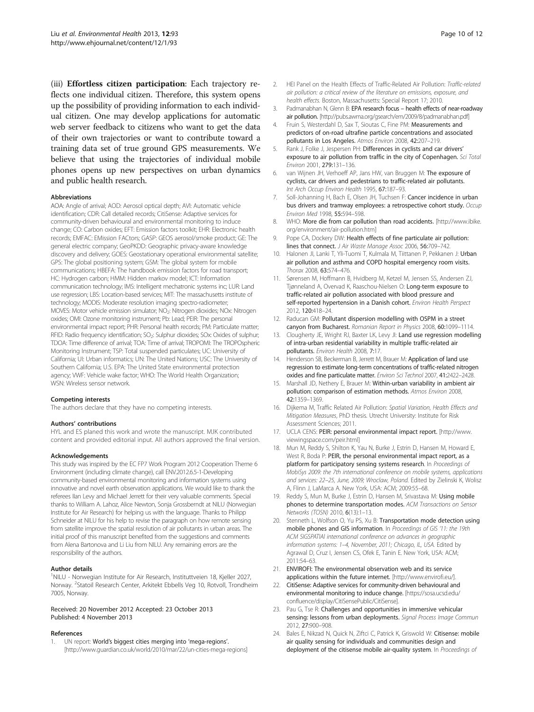<span id="page-9-0"></span>(iii) Effortless citizen participation: Each trajectory reflects one individual citizen. Therefore, this system opens up the possibility of providing information to each individual citizen. One may develop applications for automatic web server feedback to citizens who want to get the data of their own trajectories or want to contribute toward a training data set of true ground GPS measurements. We believe that using the trajectories of individual mobile phones opens up new perspectives on urban dynamics and public health research.

#### Abbreviations

AOA: Angle of arrival; AOD: Aerosol optical depth; AVI: Automatic vehicle identification; CDR: Call detailed records; CitiSense: Adaptive services for community-driven behavioural and environmental monitoring to induce change; CO: Carbon oxides; EFT: Emission factors toolkit; EHR: Electronic health records; EMFAC: EMission FACtors; GASP: GEOS aerosol/smoke product; GE: The general electric company; GeoPKDD: Geographic privacy-aware knowledge discovery and delivery; GOES: Geostationary operational environmental satellite; GPS: The global positioning system; GSM: The global system for mobile communications; HBEFA: The handbook emission factors for road transport; HC: Hydrogen carbon; HMM: Hidden markov model; ICT: Information communication technology; IMS: Intelligent mechatronic systems inc; LUR: Land use regression; LBS: Location-based services; MIT: The massachusetts institute of technology; MODIS: Moderate resolution imaging spectro-radiometer; MOVES: Motor vehicle emission simulator; NO<sub>2</sub>: Nitrogen dioxides; NOx: Nitrogen oxides; OMI: Ozone monitoring instrument; Pb: Lead; PEIR: The personal environmental impact report; PHR: Personal health records; PM: Particulate matter; RFID: Radio frequency identification; SO<sub>2</sub>: Sulphur dioxides; SOx: Oxides of sulphur; TDOA: Time difference of arrival; TOA: Time of arrival; TROPOMI: The TROPOspheric Monitoring Instrument; TSP: Total suspended particulates; UC: University of California; UI: Urban informatics; UN: The United Nations; USC: The University of Southern California; U.S. EPA: The United State environmental protection agency; VWF: Vehicle wake factor; WHO: The World Health Organization; WSN: Wireless sensor network.

#### Competing interests

The authors declare that they have no competing interests.

#### Authors' contributions

HYL and ES planed this work and wrote the manuscript. MJK contributed content and provided editorial input. All authors approved the final version.

#### Acknowledgements

This study was inspired by the EC FP7 Work Program 2012 Cooperation Theme 6 Environment (including climate change), call ENV.2012.6.5-1-Developing community-based environmental monitoring and information systems using innovative and novel earth observation applications. We would like to thank the referees IIan Levy and Michael Jerrett for their very valuable comments. Special thanks to William A. Lahoz, Alice Newton, Sonja Grossberndt at NILU (Norwegian Institute for Air Research) for helping us with the language. Thanks to Philipp Schneider at NILU for his help to revise the paragraph on how remote sensing from satellite improve the spatial resolution of air pollutants in urban areas. The initial proof of this manuscript benefited from the suggestions and comments from Alena Bartonova and Li Liu from NILU. Any remaining errors are the responsibility of the authors.

#### Author details

<sup>1</sup>NILU - Norwegian Institute for Air Research, Instituttveien 18, Kjeller 2027, Norway. <sup>2</sup>Statoil Research Center, Arkitekt Ebbells Veg 10, Rotvoll, Trondheim 7005, Norway.

#### Received: 20 November 2012 Accepted: 23 October 2013 Published: 4 November 2013

#### References

UN report: World's biggest cities merging into 'mega-regions'. [[http://www.guardian.co.uk/world/2010/mar/22/un-cities-mega-regions\]](http://www.guardian.co.uk/world/2010/mar/22/un-cities-mega-regions)

- 2. HEI Panel on the Health Effects of Traffic-Related Air Pollution: Traffic-related air pollution: a critical review of the literature on emissions, exposure, and health effects. Boston, Massachusetts: Special Report 17; 2010.
- 3. Padmanabhan N, Glenn B: EPA research focus health effects of near-roadway air pollution. [\[http://pubs.awma.org/gsearch/em/2009/8/padmanabhan.pdf](http://pubs.awma.org/gsearch/em/2009/8/padmanabhan.pdf)]
- 4. Fruin S, Westerdahl D, Sax T, Sioutas C, Fine PM: Measurements and predictors of on-road ultrafine particle concentrations and associated pollutants in Los Angeles. Atmos Environ 2008, 42:207–219.
- 5. Rank J, Folke J, Jespersen PH: Differences in cyclists and car drivers' exposure to air pollution from traffic in the city of Copenhagen. Sci Total Environ 2001, 279:131–136.
- van Wijnen JH, Verhoeff AP, Jans HW, van Bruggen M: The exposure of cyclists, car drivers and pedestrians to traffic-related air pollutants. Int Arch Occup Environ Health 1995, 67:187-93.
- 7. Soll-Johanning H, Bach E, Olsen JH, Tuchsen F: Cancer incidence in urban bus drivers and tramway employees: a retrospective cohort study. Occup Environ Med 1998, 55:594–598.
- 8. WHO: More die from car pollution than road accidents. [[http://www.ibike.](http://www.ibike.org/environment/air-pollution.htm) [org/environment/air-pollution.htm](http://www.ibike.org/environment/air-pollution.htm)]
- 9. Pope CA, Dockery DW: Health effects of fine particulate air pollution: lines that connect. J Air Waste Manage Assoc 2006, 56:709-742.
- 10. Halonen JI, Lanki T, Yli-Tuomi T, Kulmala M, Tiittanen P, Pekkanen J: Urban air pollution and asthma and COPD hospital emergency room visits. Thorax 2008, 63:574–476.
- 11. Sørensen M, Hoffmann B, Hvidberg M, Ketzel M, Jensen SS, Andersen ZJ, Tjønneland A, Overvad K, Raaschou-Nielsen O: Long-term exposure to traffic-related air pollution associated with blood pressure and self-reported hypertension in a Danish cohort. Environ Health Perspect 2012, 120:418–24.
- 12. Raducan GM: Pollutant dispersion modelling with OSPM in a street canyon from Bucharest. Romanian Report in Physics 2008, 60:1099–1114.
- 13. Clougherty JE, Wright RJ, Baxter LK, Levy JI: Land use regression modelling of intra-urban residential variability in multiple traffic-related air pollutants. Environ Health 2008, 7:17.
- 14. Henderson SB, Beckerman B, Jerrett M, Brauer M: Application of land use regression to estimate long-term concentrations of traffic-related nitrogen oxides and fine particulate matter. Environ Sci Technol 2007, 41:2422–2428.
- 15. Marshall JD, Nethery E, Brauer M: Within-urban variability in ambient air pollution: comparison of estimation methods. Atmos Environ 2008, 42:1359–1369.
- 16. Dijkema M, Traffic Related Air Pollution: Spatial Variation, Health Effects and Mitigation Measures, PhD thesis. Utrecht University: Institute for Risk Assessment Sciences; 2011.
- 17. UCLA CENS: PEIR: personal environmental impact report. [[http://www.](http://www.viewingspace.com/peir.html) [viewingspace.com/peir.html\]](http://www.viewingspace.com/peir.html)
- 18. Mun M, Reddy S, Shilton K, Yau N, Burke J, Estrin D, Hansen M, Howard E, West R, Boda P: PEIR, the personal environmental impact report, as a platform for participatory sensing systems research. In Proceedings of MobiSys 2009: the 7th international conference on mobile systems, applications and services: 22–25, June, 2009; Wroclaw, Poland. Edited by Zielinski K, Wolisz A, Flinn J, LaMarca A. New York, USA: ACM; 2009:55–68.
- 19. Reddy S, Mun M, Burke J, Estrin D, Hansen M, Srivastava M: Using mobile phones to determine transportation modes. ACM Transactions on Sensor Networks (TOSN) 2010, 6(13):1–13.
- 20. Stenneth L, Wolfson O, Yu PS, Xu B: Transportation mode detection using mobile phones and GIS information. In Proceedings of GIS '11: the 19th ACM SIGSPATIAl international conference on advances in geographic information systems: 1–4, November, 2011; Chicago, IL, USA. Edited by Agrawal D, Cruz I, Jensen CS, Ofek E, Tanin E. New York, USA: ACM; 2011:54–63.
- 21. ENVIROFI: The environmental observation web and its service applications within the future internet. [\[http://www.envirofi.eu/\]](http://www.envirofi.eu/).
- 22. CitiSense: Adaptive services for community-driven behavioural and environmental monitoring to induce change. [[https://sosa.ucsd.edu/](https://sosa.ucsd.edu/confluence/display/CitiSensePublic/CitiSense) [confluence/display/CitiSensePublic/CitiSense](https://sosa.ucsd.edu/confluence/display/CitiSensePublic/CitiSense)].
- 23. Pau G, Tse R: Challenges and opportunities in immersive vehicular sensing: lessons from urban deployments. Signal Process Image Commun 2012, 27:900–908.
- 24. Bales E, Nikzad N, Quick N, Ziftci C, Patrick K, Griswold W: Citisense: mobile air quality sensing for individuals and communities design and deployment of the citisense mobile air-quality system. In Proceedings of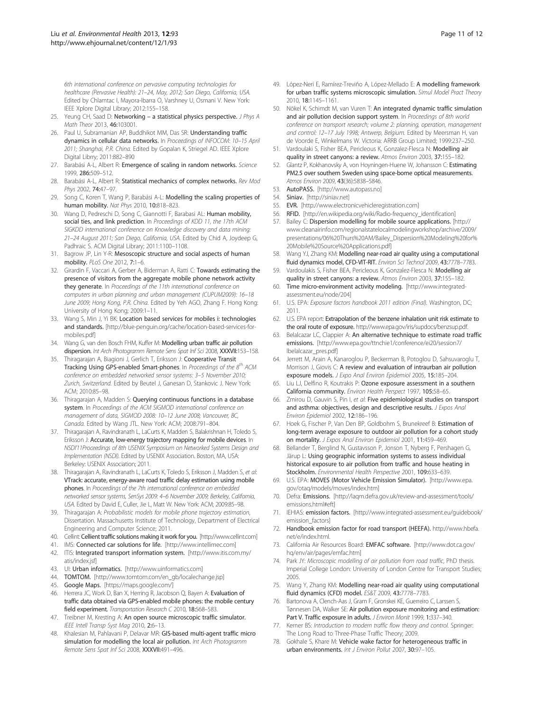<span id="page-10-0"></span>6th international conference on pervasive computing technologies for healthcare (Pervasive Health): 21–24, May, 2012; San Diego, California, USA. Edited by Chlamtac I, Mayora-Ibarra O, Varshney U, Osmani V. New York: IEEE Xplore Digital Library; 2012:155–158.

- 25. Yeung CH, Saad D: Networking a statistical physics perspective. J Phys A Math Theor 2013, 46:103001.
- 26. Paul U, Subramanian AP, Buddhikot MM, Das SR: Understanding traffic dynamics in cellular data networks. In Proceedings of INFOCOM: 10–15 April 2011; Shanghai, P.R. China. Edited by Gopalan K, Striegel AD. IEEE Xplore Digital Librry; 2011:882–890
- 27. Barabási A-L, Albert R: Emergence of scaling in random networks. Science 1999, 286:509–512.
- 28. Barabási A-L, Albert R: Statistical mechanics of complex networks. Rev Mod Phys 2002, 74:47–97.
- 29. Song C, Koren T, Wang P, Barabási A-L: Modelling the scaling properties of human mobility. Nat Phys 2010, 10:818–823.
- 30. Wang D, Pedreschi D, Song C, Giannotti F, Barabasi AL: Human mobility, social ties, and link prediction. In Proceedings of KDD 11, the 17th ACM SIGKDD international conference on Knowledge discovery and data mining: 21–24 August 2011; San Diego, California, USA. Edited by Chid A, Joydeep G, Padhraic S. ACM Digital Library; 2011:1100–1108.
- 31. Bagrow JP, Lin Y-R: Mesoscopic structure and social aspects of human mobility. PLoS One 2012, 7:1–6.
- 32. Girardin F, Vaccari A, Gerber A, Biderman A, Ratti C: Towards estimating the presence of visitors from the aggregate mobile phone network activity they generate. In Proceedings of the 11th international conference on computers in urban planning and urban management (CUPUM2009): 16–18 June 2009; Hong Kong, P.R. China. Edited by Yeh AGO, Zhang F. Hong Kong: University of Hong Kong; 2009:1–11.
- 33. Wang S, Min J, Yi BK: Location based services for mobiles i: technologies and standards. [[http://blue-penguin.org/cache/location-based-services-for](http://blue-penguin.org/cache/location-based-services-for-mobiles.pdf)[mobiles.pdf\]](http://blue-penguin.org/cache/location-based-services-for-mobiles.pdf)
- 34. Wang G, van den Bosch FHM, Kuffer M: Modelling urban traffic air pollution dispersion. Int Arch Photogramm Remote Sens Spat Inf Sci 2008, XXXVII:153-158.
- 35. Thiragarajan A, Biagioni J, Gerlich T, Eriksson J: Cooperative Transit Tracking Using GPS-enabled Smart-phones. In Proceedings of the 8<sup>th</sup> ACM conference on embedded networked sensor systems: 3–5 November 2010; Zurich, Switzerland. Edited by Beutel J, Ganesan D, Stankovic J. New York: ACM; 2010:85–98.
- 36. Thiragarajan A, Madden S: Querying continuous functions in a database system. In Proceedings of the ACM SIGMOD international conference on management of data, SIGMOD 2008: 10–12 June 2008; Vancouver, BC, Canada. Edited by Wang JTL. New York: ACM; 2008:791–804.
- 37. Thiragarajan A, Ravindranath L, LaCurts K, Madden S, Balakrishnan H, Toledo S, Eriksson J: Accurate, low-energy trajectory mapping for mobile devices. In NSDI'11Proceedings of 8th USENIX Symposium on Networked Systems Design and Implementation (NSDI). Edited by USENIX Association. Boston, MA, USA: Berkeley: USENIX Association; 2011.
- Thiragarajan A, Ravindranath L, LaCurts K, Toledo S, Eriksson J, Madden S, et al: VTrack: accurate, energy-aware road traffic delay estimation using mobile phones. In Proceedings of the 7th international conference on embedded networked sensor systems, SenSys 2009: 4–6 November 2009; Berkeley, California, USA. Edited by David E, Culler, Jie L, Matt W. New York: ACM; 2009:85–98.
- 39. Thiragarajan A: Probabilistic models for mobile phone trajectory estimation, Dissertation. Massachusetts Institute of Technology, Department of Electrical Engineering and Computer Science; 2011.
- 40. Cellint: Cellient traffic solutions making it work for you. [\[http://www.cellint.com\]](http://www.cellint.com)
- 41. IMS: Connected car solutions for life. [[http://www.intellimec.com\]](http://www.intellimec.com)
- 42. ITIS: Integrated transport information system. [[http://www.itis.com.my/](http://www.itis.com.my/atis/index.jsf) [atis/index.jsf](http://www.itis.com.my/atis/index.jsf)]
- 43. UI: Urban informatics. [\[http://www.uinformatics.com\]](http://www.uinformatics.com)
- 44. TOMTOM. [[http://www.tomtom.com/en\\_gb/localechange.jsp\]](http://www.tomtom.com/en_gb/localechange.jsp)
- 45. Google Maps. [\[https://maps.google.com/\]](https://maps.google.com/)
- 46. Herrera JC, Work D, Ban X, Herring R, Jacobson Q, Bayen A: Evaluation of traffic data obtained via GPS-enabled mobile phones: the mobile century field experiment. Transportation Research C 2010, 18:568-583
- 47. Treibner M, Kresting A: An open source microscopic traffic simulator. IEEE Intell Transp Syst Mag 2010, 2:6-13.
- Khalesian M, Pahlavani P, Delavar MR: GIS-based multi-agent traffic micro simulation for modelling the local air pollution. Int Arch Photogramm Remote Sens Spat Inf Sci 2008, XXXVII:491–496.
- 49. López-Neri E, Ramírez-Treviño A, López-Mellado E: A modelling framework for urban traffic systems microscopic simulation. Simul Model Pract Theory 2010, 18:1145–1161.
- 50. Nökel K, Schimdt M, van Vuren T: An integrated dynamic traffic simulation and air pollution decision support system. In Proceedings of 8th world conference on transport research; volume 2: planning, operation, management and control: 12–17 July 1998; Antwerp, Belgium. Edited by Meersman H, van de Voorde E, Winkelmans W. Victoria: ARRB Group Limited; 1999:237–250.
- 51. Vardoulaki S, Fisher BEA, Pericleous K, Gonzalez-Flesca N: Modelling air quality in street canyons: a review. Atmos Environ 2003, 37:155–182.
- 52. Glantz P, Kokhanovsky A, von Hoyningen-Huene W, Johansson C: Estimating PM2.5 over southern Sweden using space-borne optical measurements. Atmos Environ 2009, 43(36):5838–5846.
- 53. AutoPASS. [<http://www.autopass.no>]
- 54. Siniav. [\[http://siniav.net](http://siniav.net)]
- 55. EVR. [[http://www.electronicvehicleregistration.com\]](http://www.electronicvehicleregistration.com)
- 56. RFID. [\[http://en.wikipedia.org/wiki/Radio-frequency\\_identification\]](http://en.wikipedia.org/wiki/Radio-frequency_identification)
- 57. Bailey C: Dispersion modelling for mobile source applications. [\[http://](http://www.cleanairinfo.com/regionalstatelocalmodelingworkshop/archive/2009/presentations/06%20Thurs%20AM/Bailey_Dispersion%20Modeling%20for%20Mobile%20Source%20Applications.pdf) [www.cleanairinfo.com/regionalstatelocalmodelingworkshop/archive/2009/](http://www.cleanairinfo.com/regionalstatelocalmodelingworkshop/archive/2009/presentations/06%20Thurs%20AM/Bailey_Dispersion%20Modeling%20for%20Mobile%20Source%20Applications.pdf) [presentations/06%20Thurs%20AM/Bailey\\_Dispersion%20Modeling%20for%](http://www.cleanairinfo.com/regionalstatelocalmodelingworkshop/archive/2009/presentations/06%20Thurs%20AM/Bailey_Dispersion%20Modeling%20for%20Mobile%20Source%20Applications.pdf) [20Mobile%20Source%20Applications.pdf](http://www.cleanairinfo.com/regionalstatelocalmodelingworkshop/archive/2009/presentations/06%20Thurs%20AM/Bailey_Dispersion%20Modeling%20for%20Mobile%20Source%20Applications.pdf)]
- 58. Wang YJ, Zhang KM: Modelling near-road air quality using a computational fluid dynamics model, CFD-VIT-RIT. Environ Sci Technol 2009, 43:7778-7783.
- Vardoulakis S, Fisher BEA, Pericleous K, Gonzalez-Flesca N: Modelling air quality in street canyons: a review. Atmos Environ 2003, 37:155–182.
- 60. Time micro-environment activity modeling. [[http://www.integrated](http://www.integrated-assessment.eu/node/204)[assessment.eu/node/204](http://www.integrated-assessment.eu/node/204)]
- 61. U.S. EPA: Exposure factors handbook 2011 edition (Final). Washington, DC; 2011.
- 62. U.S. EPA report: Extrapolation of the benzene inhalation unit risk estimate to the oral route of exposure. <http://www.epa.gov/iris/supdocs/benzsup.pdf>.
- 63. Belalcazar LC, Clappier A: An alternative technique to estimate road traffic emissions. [[http://www.epa.gov/ttnchie1/conference/ei20/session7/](http://www.epa.gov/ttnchie1/conference/ei20/session7/lbelalcazar_pres.pdf) [lbelalcazar\\_pres.pdf](http://www.epa.gov/ttnchie1/conference/ei20/session7/lbelalcazar_pres.pdf)]
- 64. Jerrett M, Arain A, Kanaroglou P, Beckerman B, Potoglou D, Sahsuvaroglu T, Morrison J, Giovis C: A review and evaluation of intraurban air pollution exposure models. J Expo Anal Environ Epidemiol 2005, 15:185–204.
- 65. Liu LJ, Delfino R, Koutrakis P: Ozone exposure assessment in a southern California community. Environ Health Perspect 1997, 105:58–65.
- 66. Zmirou D, Gauvin S, Pin I, et al: Five epidemiological studies on transport and asthma: objectives, design and descriptive results. J Expos Anal Environ Epidemiol 2002, 12:186–196.
- 67. Hoek G, Fischer P, Van Den BP, Goldbohm S, Brunekreef B: Estimation of long-term average exposure to outdoor air pollution for a cohort study on mortality. J Expos Anal Environ Epidemiol 2001, 11:459–469.
- 68. Bellander T, Berglind N, Gustavsson P, Jonson T, Nyberg F, Pershagen G, Järup L: Using geographic information systems to assess individual historical exposure to air pollution from traffic and house heating in Stockholm. Environmental Health Perspective 2001, 109:633–639.
- 69. U.S. EPA: MOVES (Motor Vehicle Emission Simulator). [\[http://www.epa.](http://www.epa.gov/otaq/models/moves/index.htm) [gov/otaq/models/moves/index.htm\]](http://www.epa.gov/otaq/models/moves/index.htm)
- 70. Defra: Emissions. [[http://laqm.defra.gov.uk/review-and-assessment/tools/](http://laqm.defra.gov.uk/review-and-assessment/tools/emissions.html#eft) [emissions.html#eft](http://laqm.defra.gov.uk/review-and-assessment/tools/emissions.html#eft)]
- 71. IEHIAS: emission factors. [\[http://www.integrated-assessment.eu/guidebook/](http://www.integrated-assessment.eu/guidebook/emission_factors) emission factors]
- 72. Handbook emission factor for road transport (HEEFA). [http://www.hbefa.](http://www.hbefa.net/e/index.html) [net/e/index.html](http://www.hbefa.net/e/index.html).
- California Air Resources Board: EMFAC software. [[http://www.dot.ca.gov/](http://www.dot.ca.gov/hq/env/air/pages/emfac.htm) [hq/env/air/pages/emfac.htm](http://www.dot.ca.gov/hq/env/air/pages/emfac.htm)]
- 74. Park JY: Microscopic modelling of air pollution from road traffic, PhD thesis. Imperial College London: University of London Centre for Transport Studies; 2005.
- 75. Wang Y, Zhang KM: Modelling near-road air quality using computational fluid dynamics (CFD) model. ES&T 2009, 43:7778–7783.
- 76. Bartonova A, Clench-Aas J, Gram F, Gronskei KE, Guerreiro C, Larssen S, Tønnesen DA, Walker SE: Air pollution exposure monitoring and estimation: Part V. Traffic exposure in adults. J Environ Monit 1999, 1:337-340.
- 77. Kerner BS: Introduction to modern traffic flow theory and control. Springer: The Long Road to Three-Phase Traffic Theory; 2009.
- 78. Gokhale S, Khare M: Vehicle wake factor for heterogeneous traffic in urban environments. Int J Environ Pollut 2007, 30:97-105.